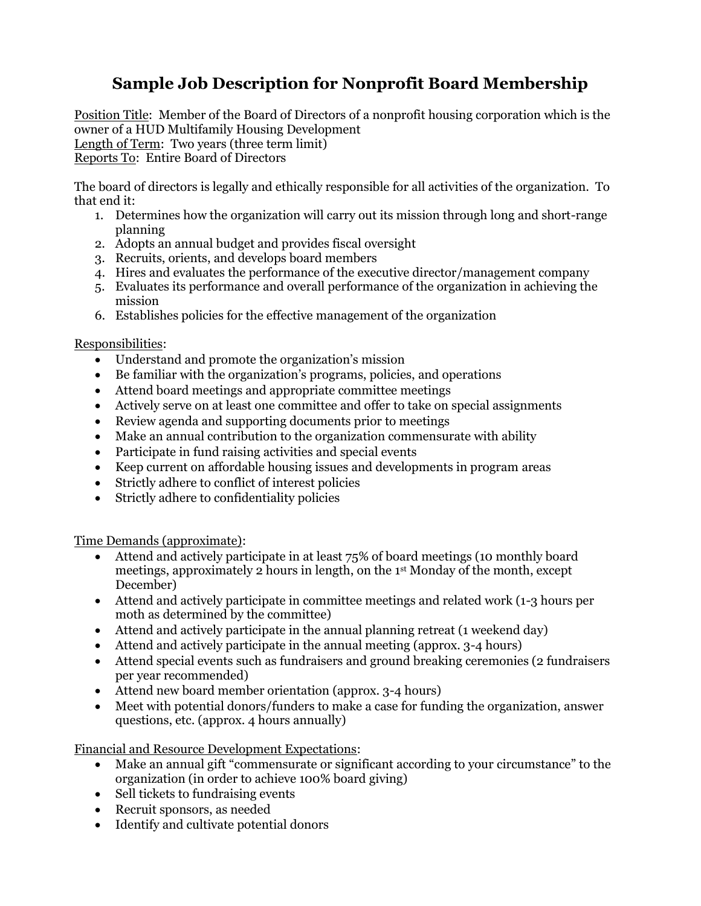## **Sample Job Description for Nonprofit Board Membership**

Position Title: Member of the Board of Directors of a nonprofit housing corporation which is the owner of a HUD Multifamily Housing Development Length of Term: Two years (three term limit) Reports To: Entire Board of Directors

The board of directors is legally and ethically responsible for all activities of the organization. To that end it:

- 1. Determines how the organization will carry out its mission through long and short-range planning
- 2. Adopts an annual budget and provides fiscal oversight
- 3. Recruits, orients, and develops board members
- 4. Hires and evaluates the performance of the executive director/management company
- 5. Evaluates its performance and overall performance of the organization in achieving the mission
- 6. Establishes policies for the effective management of the organization

## Responsibilities:

- Understand and promote the organization's mission
- Be familiar with the organization's programs, policies, and operations
- Attend board meetings and appropriate committee meetings
- Actively serve on at least one committee and offer to take on special assignments
- Review agenda and supporting documents prior to meetings
- Make an annual contribution to the organization commensurate with ability
- Participate in fund raising activities and special events
- Keep current on affordable housing issues and developments in program areas
- Strictly adhere to conflict of interest policies
- Strictly adhere to confidentiality policies

Time Demands (approximate):

- Attend and actively participate in at least 75% of board meetings (10 monthly board meetings, approximately 2 hours in length, on the 1st Monday of the month, except December)
- Attend and actively participate in committee meetings and related work (1-3 hours per moth as determined by the committee)
- Attend and actively participate in the annual planning retreat (1 weekend day)
- Attend and actively participate in the annual meeting (approx. 3-4 hours)
- Attend special events such as fundraisers and ground breaking ceremonies (2 fundraisers per year recommended)
- Attend new board member orientation (approx. 3-4 hours)
- Meet with potential donors/funders to make a case for funding the organization, answer questions, etc. (approx. 4 hours annually)

Financial and Resource Development Expectations:

- Make an annual gift "commensurate or significant according to your circumstance" to the organization (in order to achieve 100% board giving)
- Sell tickets to fundraising events
- Recruit sponsors, as needed
- Identify and cultivate potential donors